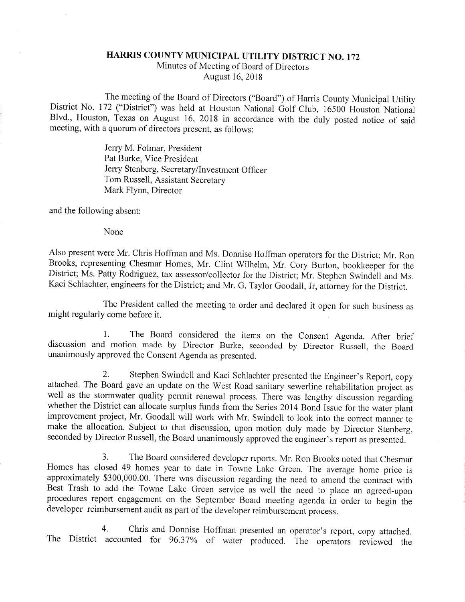## HARRIS COUNTY MUNICIPAL UTILITY DISTRICT NO. 172

Minutes of Meeting of Board of Directors August 16, 2018

The meeting of the Board of Directors ("Board") of Harris County Municipal Utility District No. 172 ("District") was held at Houston National Golf Club, 16500 Houston National Blvd., Houston, Texas on August 16, 2018 in accordance with the duly posted notice of said meeting, with a quorum of directors present, as follows:

> Jerry M. Folmar, President Pat Burke, Vice President Jerry Stenberg, Secretary/Investment Officer Tom Russell, Assistant Secretary Mark Flynn, Director

and the following absent:

None

Also present were Mr. Chris Hoffman and Ms. Donnise Hoffman operators for the District; Mr. Ron Brooks, representing Chesmar Homes, Mr. Clint Wilhelm, Mr. Cory Burton, bookkeeper for the District; Ms. Patty Rodriguez, tax assessor/collector for the District; Mr. Stephen Swindell and Ms. Kaci Schlachter, engineers for the District; and Mr. G. Taylor Goodall, Jr, attorney for the District.

The President called the meeting to order and declared it open for such business as might regularly come before it.

1. The Board considered the items on the Consent Agenda. After brief discussion and motion made by Director Burke, seconded by Director Russell, the Board unanimously approved the Consent Agenda as presented.

2. Stephen Swindell and Kaci Schlachter presented the Engineer's Report, copy attached. The Board gave an update on the West Road sanitary sewerline rehabilitation project as well as the stormwater quality permit renewal process. There was lengthy discussion regarding whether the District can allocate surplus funds from the Series 2014 Bond Issue for the water plant improvement project, Mr. Goodall will work with Mr. Swindell to look into the correct manner to make the allocation. Subject to that discussion, upon motion duly made by Director Stenberg, seconded by Director Russell, the Board unanimously approved the engineer's report as presented.

3. The Board considered developer reports, Mr. Ron Brooks noted that Chesmar Homes has closed 49 homes year to date in Towne Lake Green, The average home price is approximately \$300,000.00. There was discussion regarding the need to amend the contract with Best Trash to add the Towne Lake Green service as well the need to place an agreed-upon procedures report engagement on the September Board meeting agenda in order to begin the developer reimbursement audit as part of the developer reimbursement process.

4. Chris and Donnise Hoffman presented an operator's report, copy attached. The District accounted for 96.37% of water produced. The operators reviewed the